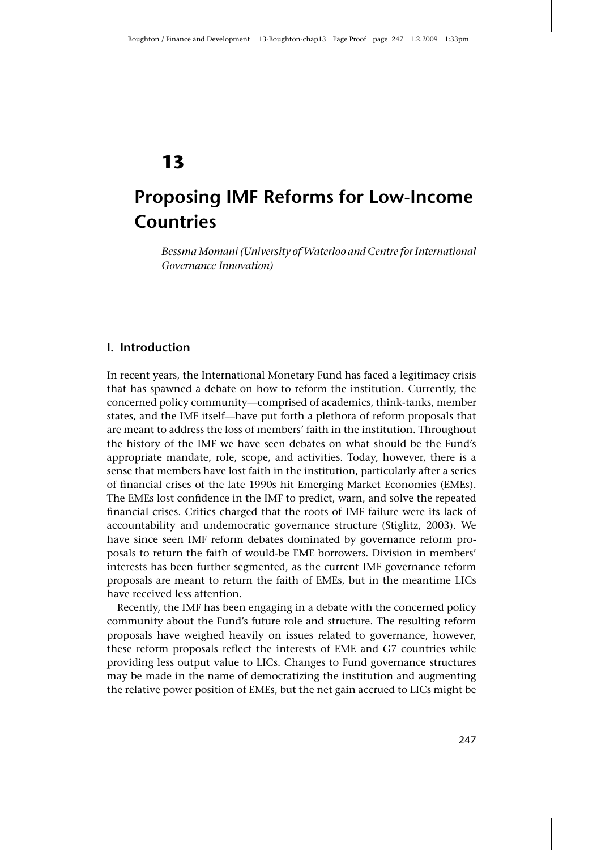## 13

# Proposing IMF Reforms for Low-Income Countries

Bessma Momani (University of Waterloo and Centre for International Governance Innovation)

## I. Introduction

In recent years, the International Monetary Fund has faced a legitimacy crisis that has spawned a debate on how to reform the institution. Currently, the concerned policy community—comprised of academics, think-tanks, member states, and the IMF itself—have put forth a plethora of reform proposals that are meant to address the loss of members' faith in the institution. Throughout the history of the IMF we have seen debates on what should be the Fund's appropriate mandate, role, scope, and activities. Today, however, there is a sense that members have lost faith in the institution, particularly after a series of financial crises of the late 1990s hit Emerging Market Economies (EMEs). The EMEs lost confidence in the IMF to predict, warn, and solve the repeated financial crises. Critics charged that the roots of IMF failure were its lack of accountability and undemocratic governance structure (Stiglitz, 2003). We have since seen IMF reform debates dominated by governance reform proposals to return the faith of would-be EME borrowers. Division in members' interests has been further segmented, as the current IMF governance reform proposals are meant to return the faith of EMEs, but in the meantime LICs have received less attention.

Recently, the IMF has been engaging in a debate with the concerned policy community about the Fund's future role and structure. The resulting reform proposals have weighed heavily on issues related to governance, however, these reform proposals reflect the interests of EME and G7 countries while providing less output value to LICs. Changes to Fund governance structures may be made in the name of democratizing the institution and augmenting the relative power position of EMEs, but the net gain accrued to LICs might be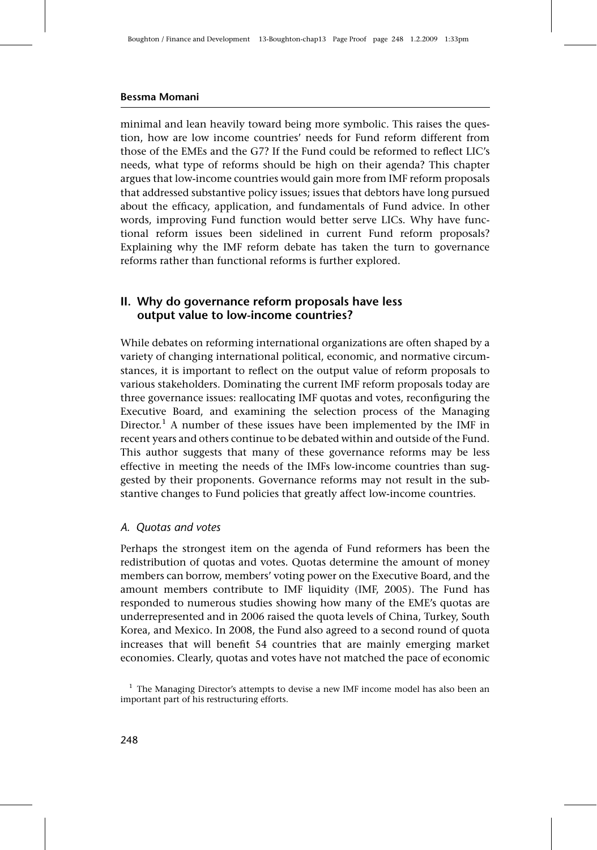minimal and lean heavily toward being more symbolic. This raises the question, how are low income countries' needs for Fund reform different from those of the EMEs and the G7? If the Fund could be reformed to reflect LIC's needs, what type of reforms should be high on their agenda? This chapter argues that low-income countries would gain more from IMF reform proposals that addressed substantive policy issues; issues that debtors have long pursued about the efficacy, application, and fundamentals of Fund advice. In other words, improving Fund function would better serve LICs. Why have functional reform issues been sidelined in current Fund reform proposals? Explaining why the IMF reform debate has taken the turn to governance reforms rather than functional reforms is further explored.

## II. Why do governance reform proposals have less output value to low-income countries?

While debates on reforming international organizations are often shaped by a variety of changing international political, economic, and normative circumstances, it is important to reflect on the output value of reform proposals to various stakeholders. Dominating the current IMF reform proposals today are three governance issues: reallocating IMF quotas and votes, reconfiguring the Executive Board, and examining the selection process of the Managing Director.<sup>1</sup> A number of these issues have been implemented by the IMF in recent years and others continue to be debated within and outside of the Fund. This author suggests that many of these governance reforms may be less effective in meeting the needs of the IMFs low-income countries than suggested by their proponents. Governance reforms may not result in the substantive changes to Fund policies that greatly affect low-income countries.

## A. Quotas and votes

Perhaps the strongest item on the agenda of Fund reformers has been the redistribution of quotas and votes. Quotas determine the amount of money members can borrow, members' voting power on the Executive Board, and the amount members contribute to IMF liquidity (IMF, 2005). The Fund has responded to numerous studies showing how many of the EME's quotas are underrepresented and in 2006 raised the quota levels of China, Turkey, South Korea, and Mexico. In 2008, the Fund also agreed to a second round of quota increases that will benefit 54 countries that are mainly emerging market economies. Clearly, quotas and votes have not matched the pace of economic

 $1$  The Managing Director's attempts to devise a new IMF income model has also been an important part of his restructuring efforts.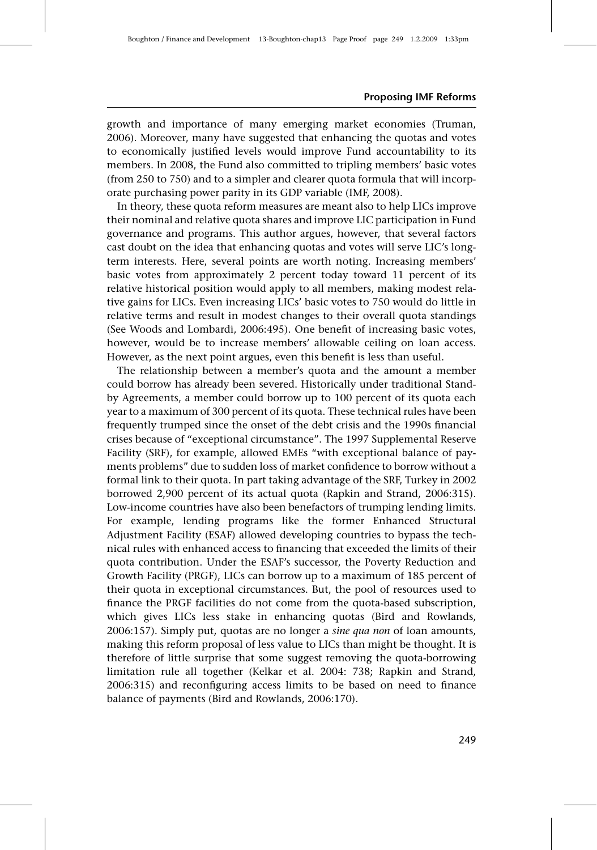growth and importance of many emerging market economies (Truman, 2006). Moreover, many have suggested that enhancing the quotas and votes to economically justified levels would improve Fund accountability to its members. In 2008, the Fund also committed to tripling members' basic votes (from 250 to 750) and to a simpler and clearer quota formula that will incorporate purchasing power parity in its GDP variable (IMF, 2008).

In theory, these quota reform measures are meant also to help LICs improve their nominal and relative quota shares and improve LIC participation in Fund governance and programs. This author argues, however, that several factors cast doubt on the idea that enhancing quotas and votes will serve LIC's longterm interests. Here, several points are worth noting. Increasing members' basic votes from approximately 2 percent today toward 11 percent of its relative historical position would apply to all members, making modest relative gains for LICs. Even increasing LICs' basic votes to 750 would do little in relative terms and result in modest changes to their overall quota standings (See Woods and Lombardi, 2006:495). One benefit of increasing basic votes, however, would be to increase members' allowable ceiling on loan access. However, as the next point argues, even this benefit is less than useful.

The relationship between a member's quota and the amount a member could borrow has already been severed. Historically under traditional Standby Agreements, a member could borrow up to 100 percent of its quota each year to a maximum of 300 percent of its quota. These technical rules have been frequently trumped since the onset of the debt crisis and the 1990s financial crises because of "exceptional circumstance". The 1997 Supplemental Reserve Facility (SRF), for example, allowed EMEs "with exceptional balance of payments problems" due to sudden loss of market confidence to borrow without a formal link to their quota. In part taking advantage of the SRF, Turkey in 2002 borrowed 2,900 percent of its actual quota (Rapkin and Strand, 2006:315). Low-income countries have also been benefactors of trumping lending limits. For example, lending programs like the former Enhanced Structural Adjustment Facility (ESAF) allowed developing countries to bypass the technical rules with enhanced access to financing that exceeded the limits of their quota contribution. Under the ESAF's successor, the Poverty Reduction and Growth Facility (PRGF), LICs can borrow up to a maximum of 185 percent of their quota in exceptional circumstances. But, the pool of resources used to finance the PRGF facilities do not come from the quota-based subscription, which gives LICs less stake in enhancing quotas (Bird and Rowlands, 2006:157). Simply put, quotas are no longer a sine qua non of loan amounts, making this reform proposal of less value to LICs than might be thought. It is therefore of little surprise that some suggest removing the quota-borrowing limitation rule all together (Kelkar et al. 2004: 738; Rapkin and Strand, 2006:315) and reconfiguring access limits to be based on need to finance balance of payments (Bird and Rowlands, 2006:170).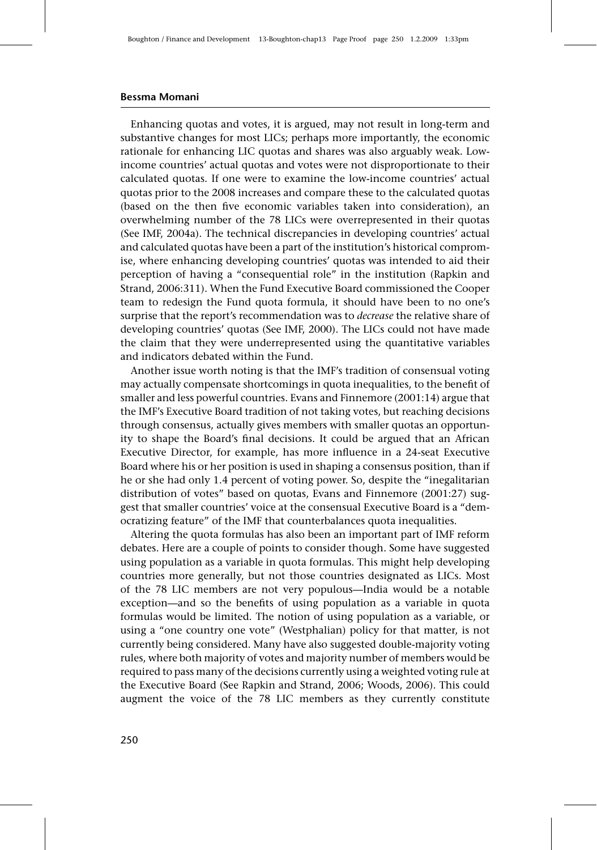Enhancing quotas and votes, it is argued, may not result in long-term and substantive changes for most LICs; perhaps more importantly, the economic rationale for enhancing LIC quotas and shares was also arguably weak. Lowincome countries' actual quotas and votes were not disproportionate to their calculated quotas. If one were to examine the low-income countries' actual quotas prior to the 2008 increases and compare these to the calculated quotas (based on the then five economic variables taken into consideration), an overwhelming number of the 78 LICs were overrepresented in their quotas (See IMF, 2004a). The technical discrepancies in developing countries' actual and calculated quotas have been a part of the institution's historical compromise, where enhancing developing countries' quotas was intended to aid their perception of having a "consequential role" in the institution (Rapkin and Strand, 2006:311). When the Fund Executive Board commissioned the Cooper team to redesign the Fund quota formula, it should have been to no one's surprise that the report's recommendation was to decrease the relative share of developing countries' quotas (See IMF, 2000). The LICs could not have made the claim that they were underrepresented using the quantitative variables and indicators debated within the Fund.

Another issue worth noting is that the IMF's tradition of consensual voting may actually compensate shortcomings in quota inequalities, to the benefit of smaller and less powerful countries. Evans and Finnemore (2001:14) argue that the IMF's Executive Board tradition of not taking votes, but reaching decisions through consensus, actually gives members with smaller quotas an opportunity to shape the Board's final decisions. It could be argued that an African Executive Director, for example, has more influence in a 24-seat Executive Board where his or her position is used in shaping a consensus position, than if he or she had only 1.4 percent of voting power. So, despite the "inegalitarian distribution of votes" based on quotas, Evans and Finnemore (2001:27) suggest that smaller countries' voice at the consensual Executive Board is a "democratizing feature" of the IMF that counterbalances quota inequalities.

Altering the quota formulas has also been an important part of IMF reform debates. Here are a couple of points to consider though. Some have suggested using population as a variable in quota formulas. This might help developing countries more generally, but not those countries designated as LICs. Most of the 78 LIC members are not very populous—India would be a notable exception—and so the benefits of using population as a variable in quota formulas would be limited. The notion of using population as a variable, or using a "one country one vote" (Westphalian) policy for that matter, is not currently being considered. Many have also suggested double-majority voting rules, where both majority of votes and majority number of members would be required to pass many of the decisions currently using a weighted voting rule at the Executive Board (See Rapkin and Strand, 2006; Woods, 2006). This could augment the voice of the 78 LIC members as they currently constitute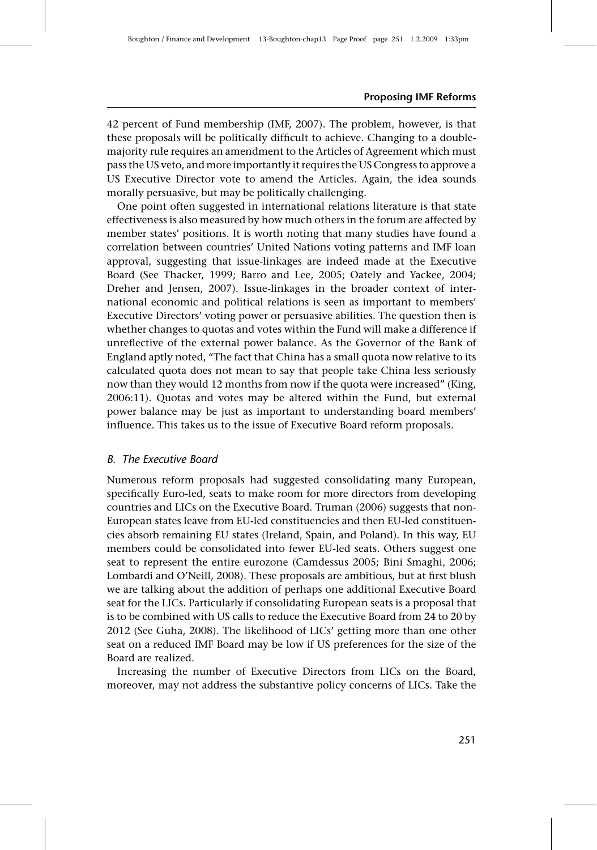42 percent of Fund membership (IMF, 2007). The problem, however, is that these proposals will be politically difficult to achieve. Changing to a doublemajority rule requires an amendment to the Articles of Agreement which must pass the US veto, and more importantly it requires the US Congress to approve a US Executive Director vote to amend the Articles. Again, the idea sounds morally persuasive, but may be politically challenging.

One point often suggested in international relations literature is that state effectiveness is also measured by how much others in the forum are affected by member states' positions. It is worth noting that many studies have found a correlation between countries' United Nations voting patterns and IMF loan approval, suggesting that issue-linkages are indeed made at the Executive Board (See Thacker, 1999; Barro and Lee, 2005; Oately and Yackee, 2004; Dreher and Jensen, 2007). Issue-linkages in the broader context of international economic and political relations is seen as important to members' Executive Directors' voting power or persuasive abilities. The question then is whether changes to quotas and votes within the Fund will make a difference if unreflective of the external power balance. As the Governor of the Bank of England aptly noted, "The fact that China has a small quota now relative to its calculated quota does not mean to say that people take China less seriously now than they would 12 months from now if the quota were increased" (King, 2006:11). Quotas and votes may be altered within the Fund, but external power balance may be just as important to understanding board members' influence. This takes us to the issue of Executive Board reform proposals.

## B. The Executive Board

Numerous reform proposals had suggested consolidating many European, specifically Euro-led, seats to make room for more directors from developing countries and LICs on the Executive Board. Truman (2006) suggests that non-European states leave from EU-led constituencies and then EU-led constituencies absorb remaining EU states (Ireland, Spain, and Poland). In this way, EU members could be consolidated into fewer EU-led seats. Others suggest one seat to represent the entire eurozone (Camdessus 2005; Bini Smaghi, 2006; Lombardi and O'Neill, 2008). These proposals are ambitious, but at first blush we are talking about the addition of perhaps one additional Executive Board seat for the LICs. Particularly if consolidating European seats is a proposal that is to be combined with US calls to reduce the Executive Board from 24 to 20 by 2012 (See Guha, 2008). The likelihood of LICs' getting more than one other seat on a reduced IMF Board may be low if US preferences for the size of the Board are realized.

Increasing the number of Executive Directors from LICs on the Board, moreover, may not address the substantive policy concerns of LICs. Take the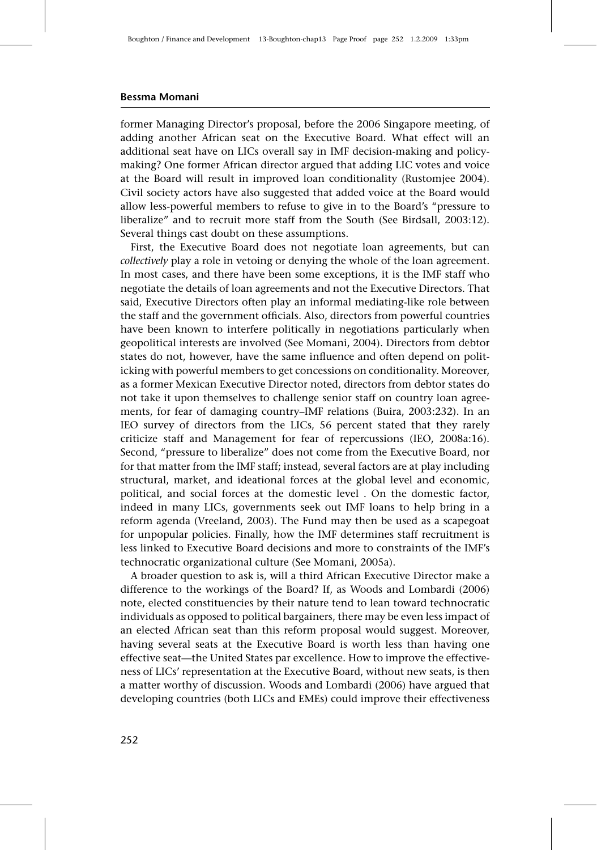former Managing Director's proposal, before the 2006 Singapore meeting, of adding another African seat on the Executive Board. What effect will an additional seat have on LICs overall say in IMF decision-making and policymaking? One former African director argued that adding LIC votes and voice at the Board will result in improved loan conditionality (Rustomjee 2004). Civil society actors have also suggested that added voice at the Board would allow less-powerful members to refuse to give in to the Board's "pressure to liberalize" and to recruit more staff from the South (See Birdsall, 2003:12). Several things cast doubt on these assumptions.

First, the Executive Board does not negotiate loan agreements, but can collectively play a role in vetoing or denying the whole of the loan agreement. In most cases, and there have been some exceptions, it is the IMF staff who negotiate the details of loan agreements and not the Executive Directors. That said, Executive Directors often play an informal mediating-like role between the staff and the government officials. Also, directors from powerful countries have been known to interfere politically in negotiations particularly when geopolitical interests are involved (See Momani, 2004). Directors from debtor states do not, however, have the same influence and often depend on politicking with powerful members to get concessions on conditionality. Moreover, as a former Mexican Executive Director noted, directors from debtor states do not take it upon themselves to challenge senior staff on country loan agreements, for fear of damaging country–IMF relations (Buira, 2003:232). In an IEO survey of directors from the LICs, 56 percent stated that they rarely criticize staff and Management for fear of repercussions (IEO, 2008a:16). Second, "pressure to liberalize" does not come from the Executive Board, nor for that matter from the IMF staff; instead, several factors are at play including structural, market, and ideational forces at the global level and economic, political, and social forces at the domestic level . On the domestic factor, indeed in many LICs, governments seek out IMF loans to help bring in a reform agenda (Vreeland, 2003). The Fund may then be used as a scapegoat for unpopular policies. Finally, how the IMF determines staff recruitment is less linked to Executive Board decisions and more to constraints of the IMF's technocratic organizational culture (See Momani, 2005a).

A broader question to ask is, will a third African Executive Director make a difference to the workings of the Board? If, as Woods and Lombardi (2006) note, elected constituencies by their nature tend to lean toward technocratic individuals as opposed to political bargainers, there may be even less impact of an elected African seat than this reform proposal would suggest. Moreover, having several seats at the Executive Board is worth less than having one effective seat—the United States par excellence. How to improve the effectiveness of LICs' representation at the Executive Board, without new seats, is then a matter worthy of discussion. Woods and Lombardi (2006) have argued that developing countries (both LICs and EMEs) could improve their effectiveness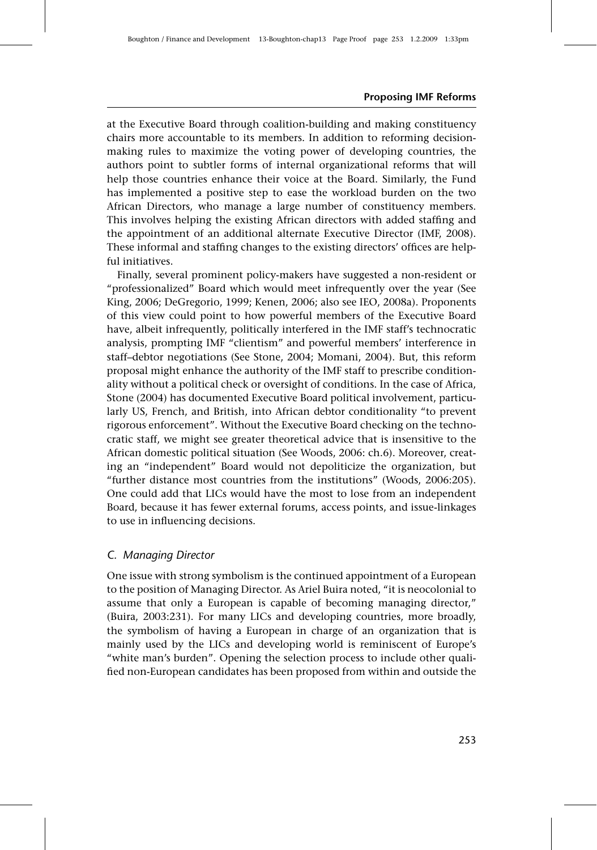at the Executive Board through coalition-building and making constituency chairs more accountable to its members. In addition to reforming decisionmaking rules to maximize the voting power of developing countries, the authors point to subtler forms of internal organizational reforms that will help those countries enhance their voice at the Board. Similarly, the Fund has implemented a positive step to ease the workload burden on the two African Directors, who manage a large number of constituency members. This involves helping the existing African directors with added staffing and the appointment of an additional alternate Executive Director (IMF, 2008). These informal and staffing changes to the existing directors' offices are helpful initiatives.

Finally, several prominent policy-makers have suggested a non-resident or "professionalized" Board which would meet infrequently over the year (See King, 2006; DeGregorio, 1999; Kenen, 2006; also see IEO, 2008a). Proponents of this view could point to how powerful members of the Executive Board have, albeit infrequently, politically interfered in the IMF staff's technocratic analysis, prompting IMF "clientism" and powerful members' interference in staff–debtor negotiations (See Stone, 2004; Momani, 2004). But, this reform proposal might enhance the authority of the IMF staff to prescribe conditionality without a political check or oversight of conditions. In the case of Africa, Stone (2004) has documented Executive Board political involvement, particularly US, French, and British, into African debtor conditionality "to prevent rigorous enforcement". Without the Executive Board checking on the technocratic staff, we might see greater theoretical advice that is insensitive to the African domestic political situation (See Woods, 2006: ch.6). Moreover, creating an "independent" Board would not depoliticize the organization, but "further distance most countries from the institutions" (Woods, 2006:205). One could add that LICs would have the most to lose from an independent Board, because it has fewer external forums, access points, and issue-linkages to use in influencing decisions.

## C. Managing Director

One issue with strong symbolism is the continued appointment of a European to the position of Managing Director. As Ariel Buira noted, "it is neocolonial to assume that only a European is capable of becoming managing director," (Buira, 2003:231). For many LICs and developing countries, more broadly, the symbolism of having a European in charge of an organization that is mainly used by the LICs and developing world is reminiscent of Europe's "white man's burden". Opening the selection process to include other qualified non-European candidates has been proposed from within and outside the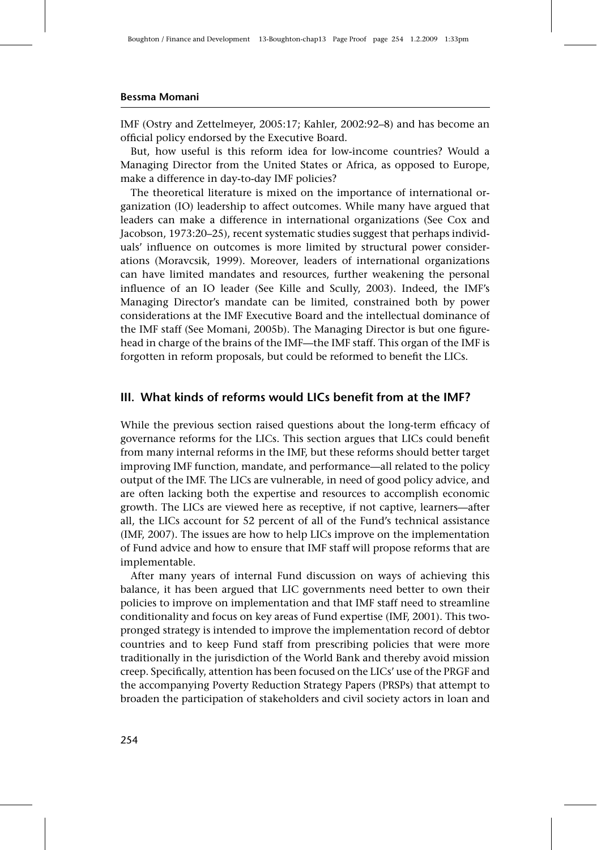IMF (Ostry and Zettelmeyer, 2005:17; Kahler, 2002:92–8) and has become an official policy endorsed by the Executive Board.

But, how useful is this reform idea for low-income countries? Would a Managing Director from the United States or Africa, as opposed to Europe, make a difference in day-to-day IMF policies?

The theoretical literature is mixed on the importance of international organization (IO) leadership to affect outcomes. While many have argued that leaders can make a difference in international organizations (See Cox and Jacobson, 1973:20–25), recent systematic studies suggest that perhaps individuals' influence on outcomes is more limited by structural power considerations (Moravcsik, 1999). Moreover, leaders of international organizations can have limited mandates and resources, further weakening the personal influence of an IO leader (See Kille and Scully, 2003). Indeed, the IMF's Managing Director's mandate can be limited, constrained both by power considerations at the IMF Executive Board and the intellectual dominance of the IMF staff (See Momani, 2005b). The Managing Director is but one figurehead in charge of the brains of the IMF—the IMF staff. This organ of the IMF is forgotten in reform proposals, but could be reformed to benefit the LICs.

## III. What kinds of reforms would LICs benefit from at the IMF?

While the previous section raised questions about the long-term efficacy of governance reforms for the LICs. This section argues that LICs could benefit from many internal reforms in the IMF, but these reforms should better target improving IMF function, mandate, and performance—all related to the policy output of the IMF. The LICs are vulnerable, in need of good policy advice, and are often lacking both the expertise and resources to accomplish economic growth. The LICs are viewed here as receptive, if not captive, learners—after all, the LICs account for 52 percent of all of the Fund's technical assistance (IMF, 2007). The issues are how to help LICs improve on the implementation of Fund advice and how to ensure that IMF staff will propose reforms that are implementable.

After many years of internal Fund discussion on ways of achieving this balance, it has been argued that LIC governments need better to own their policies to improve on implementation and that IMF staff need to streamline conditionality and focus on key areas of Fund expertise (IMF, 2001). This twopronged strategy is intended to improve the implementation record of debtor countries and to keep Fund staff from prescribing policies that were more traditionally in the jurisdiction of the World Bank and thereby avoid mission creep. Specifically, attention has been focused on the LICs' use of the PRGF and the accompanying Poverty Reduction Strategy Papers (PRSPs) that attempt to broaden the participation of stakeholders and civil society actors in loan and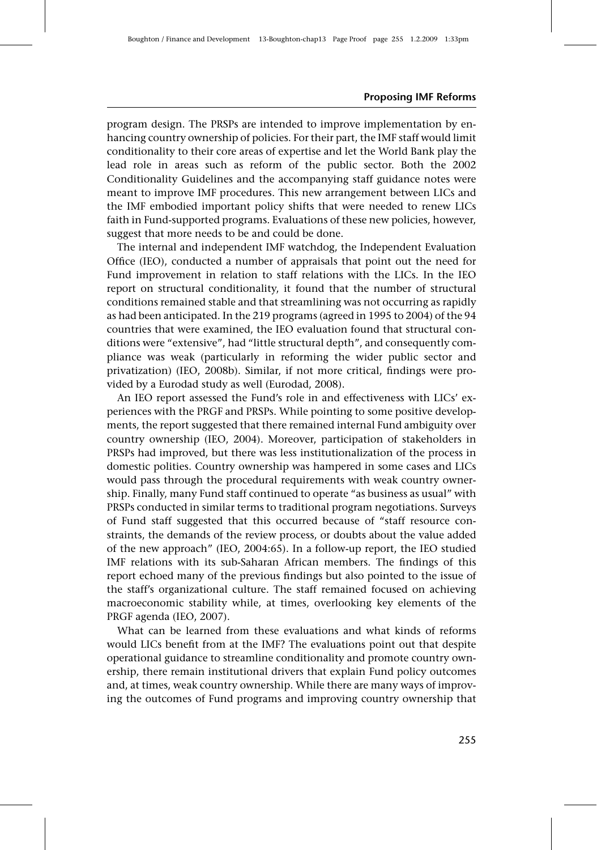program design. The PRSPs are intended to improve implementation by enhancing country ownership of policies. For their part, the IMF staff would limit conditionality to their core areas of expertise and let the World Bank play the lead role in areas such as reform of the public sector. Both the 2002 Conditionality Guidelines and the accompanying staff guidance notes were meant to improve IMF procedures. This new arrangement between LICs and the IMF embodied important policy shifts that were needed to renew LICs faith in Fund-supported programs. Evaluations of these new policies, however, suggest that more needs to be and could be done.

The internal and independent IMF watchdog, the Independent Evaluation Office (IEO), conducted a number of appraisals that point out the need for Fund improvement in relation to staff relations with the LICs. In the IEO report on structural conditionality, it found that the number of structural conditions remained stable and that streamlining was not occurring as rapidly as had been anticipated. In the 219 programs (agreed in 1995 to 2004) of the 94 countries that were examined, the IEO evaluation found that structural conditions were "extensive", had "little structural depth", and consequently compliance was weak (particularly in reforming the wider public sector and privatization) (IEO, 2008b). Similar, if not more critical, findings were provided by a Eurodad study as well (Eurodad, 2008).

An IEO report assessed the Fund's role in and effectiveness with LICs' experiences with the PRGF and PRSPs. While pointing to some positive developments, the report suggested that there remained internal Fund ambiguity over country ownership (IEO, 2004). Moreover, participation of stakeholders in PRSPs had improved, but there was less institutionalization of the process in domestic polities. Country ownership was hampered in some cases and LICs would pass through the procedural requirements with weak country ownership. Finally, many Fund staff continued to operate "as business as usual" with PRSPs conducted in similar terms to traditional program negotiations. Surveys of Fund staff suggested that this occurred because of "staff resource constraints, the demands of the review process, or doubts about the value added of the new approach" (IEO, 2004:65). In a follow-up report, the IEO studied IMF relations with its sub-Saharan African members. The findings of this report echoed many of the previous findings but also pointed to the issue of the staff's organizational culture. The staff remained focused on achieving macroeconomic stability while, at times, overlooking key elements of the PRGF agenda (IEO, 2007).

What can be learned from these evaluations and what kinds of reforms would LICs benefit from at the IMF? The evaluations point out that despite operational guidance to streamline conditionality and promote country ownership, there remain institutional drivers that explain Fund policy outcomes and, at times, weak country ownership. While there are many ways of improving the outcomes of Fund programs and improving country ownership that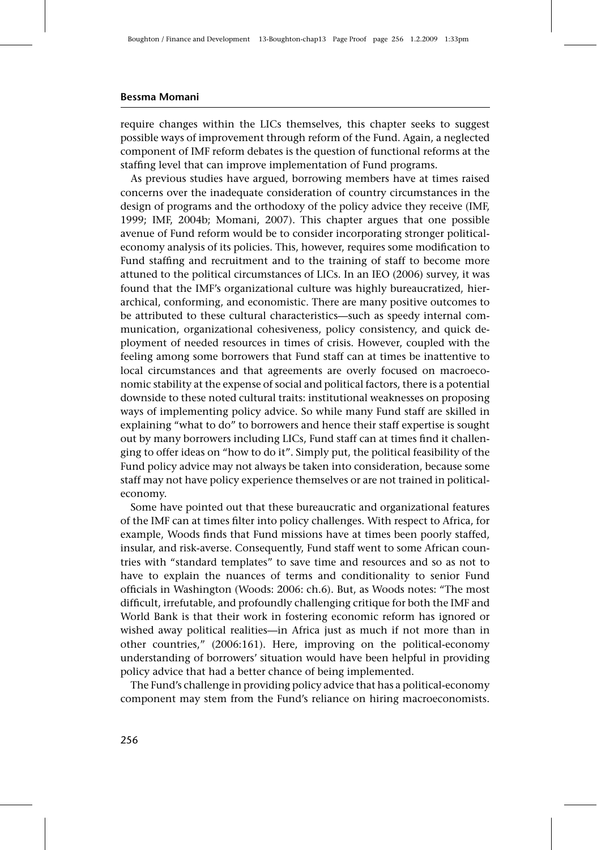require changes within the LICs themselves, this chapter seeks to suggest possible ways of improvement through reform of the Fund. Again, a neglected component of IMF reform debates is the question of functional reforms at the staffing level that can improve implementation of Fund programs.

As previous studies have argued, borrowing members have at times raised concerns over the inadequate consideration of country circumstances in the design of programs and the orthodoxy of the policy advice they receive (IMF, 1999; IMF, 2004b; Momani, 2007). This chapter argues that one possible avenue of Fund reform would be to consider incorporating stronger politicaleconomy analysis of its policies. This, however, requires some modification to Fund staffing and recruitment and to the training of staff to become more attuned to the political circumstances of LICs. In an IEO (2006) survey, it was found that the IMF's organizational culture was highly bureaucratized, hierarchical, conforming, and economistic. There are many positive outcomes to be attributed to these cultural characteristics—such as speedy internal communication, organizational cohesiveness, policy consistency, and quick deployment of needed resources in times of crisis. However, coupled with the feeling among some borrowers that Fund staff can at times be inattentive to local circumstances and that agreements are overly focused on macroeconomic stability at the expense of social and political factors, there is a potential downside to these noted cultural traits: institutional weaknesses on proposing ways of implementing policy advice. So while many Fund staff are skilled in explaining "what to do" to borrowers and hence their staff expertise is sought out by many borrowers including LICs, Fund staff can at times find it challenging to offer ideas on "how to do it". Simply put, the political feasibility of the Fund policy advice may not always be taken into consideration, because some staff may not have policy experience themselves or are not trained in politicaleconomy.

Some have pointed out that these bureaucratic and organizational features of the IMF can at times filter into policy challenges. With respect to Africa, for example, Woods finds that Fund missions have at times been poorly staffed, insular, and risk-averse. Consequently, Fund staff went to some African countries with "standard templates" to save time and resources and so as not to have to explain the nuances of terms and conditionality to senior Fund officials in Washington (Woods: 2006: ch.6). But, as Woods notes: "The most difficult, irrefutable, and profoundly challenging critique for both the IMF and World Bank is that their work in fostering economic reform has ignored or wished away political realities—in Africa just as much if not more than in other countries," (2006:161). Here, improving on the political-economy understanding of borrowers' situation would have been helpful in providing policy advice that had a better chance of being implemented.

The Fund's challenge in providing policy advice that has a political-economy component may stem from the Fund's reliance on hiring macroeconomists.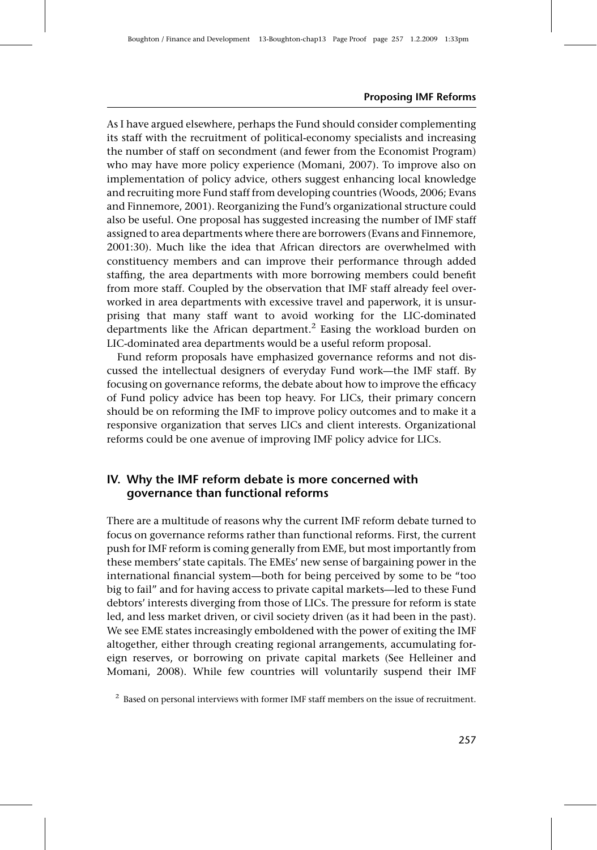As I have argued elsewhere, perhaps the Fund should consider complementing its staff with the recruitment of political-economy specialists and increasing the number of staff on secondment (and fewer from the Economist Program) who may have more policy experience (Momani, 2007). To improve also on implementation of policy advice, others suggest enhancing local knowledge and recruiting more Fund staff from developing countries (Woods, 2006; Evans and Finnemore, 2001). Reorganizing the Fund's organizational structure could also be useful. One proposal has suggested increasing the number of IMF staff assigned to area departments where there are borrowers (Evans and Finnemore, 2001:30). Much like the idea that African directors are overwhelmed with constituency members and can improve their performance through added staffing, the area departments with more borrowing members could benefit from more staff. Coupled by the observation that IMF staff already feel overworked in area departments with excessive travel and paperwork, it is unsurprising that many staff want to avoid working for the LIC-dominated departments like the African department.<sup>2</sup> Easing the workload burden on LIC-dominated area departments would be a useful reform proposal.

Fund reform proposals have emphasized governance reforms and not discussed the intellectual designers of everyday Fund work—the IMF staff. By focusing on governance reforms, the debate about how to improve the efficacy of Fund policy advice has been top heavy. For LICs, their primary concern should be on reforming the IMF to improve policy outcomes and to make it a responsive organization that serves LICs and client interests. Organizational reforms could be one avenue of improving IMF policy advice for LICs.

## IV. Why the IMF reform debate is more concerned with governance than functional reforms

There are a multitude of reasons why the current IMF reform debate turned to focus on governance reforms rather than functional reforms. First, the current push for IMF reform is coming generally from EME, but most importantly from these members' state capitals. The EMEs' new sense of bargaining power in the international financial system—both for being perceived by some to be "too big to fail" and for having access to private capital markets—led to these Fund debtors' interests diverging from those of LICs. The pressure for reform is state led, and less market driven, or civil society driven (as it had been in the past). We see EME states increasingly emboldened with the power of exiting the IMF altogether, either through creating regional arrangements, accumulating foreign reserves, or borrowing on private capital markets (See Helleiner and Momani, 2008). While few countries will voluntarily suspend their IMF

<sup>&</sup>lt;sup>2</sup> Based on personal interviews with former IMF staff members on the issue of recruitment.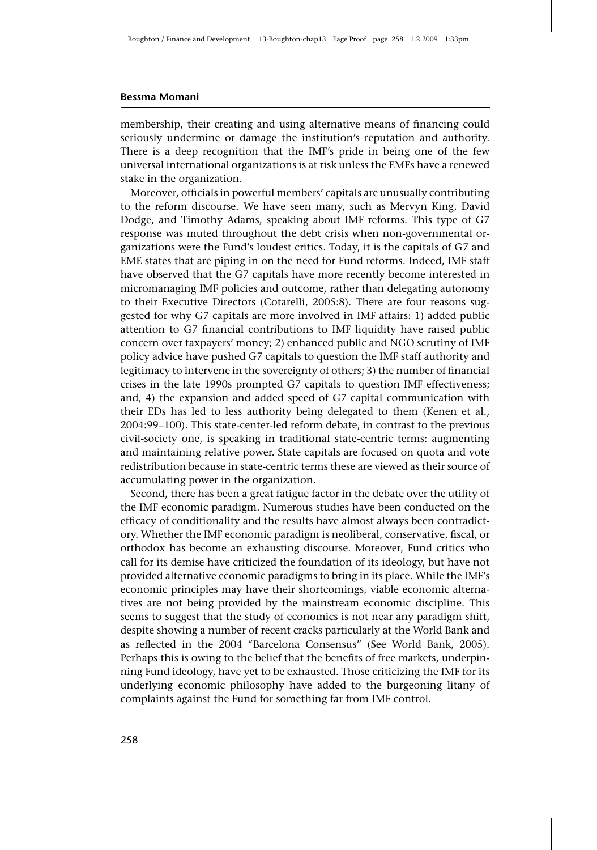membership, their creating and using alternative means of financing could seriously undermine or damage the institution's reputation and authority. There is a deep recognition that the IMF's pride in being one of the few universal international organizations is at risk unless the EMEs have a renewed stake in the organization.

Moreover, officials in powerful members' capitals are unusually contributing to the reform discourse. We have seen many, such as Mervyn King, David Dodge, and Timothy Adams, speaking about IMF reforms. This type of G7 response was muted throughout the debt crisis when non-governmental organizations were the Fund's loudest critics. Today, it is the capitals of G7 and EME states that are piping in on the need for Fund reforms. Indeed, IMF staff have observed that the G7 capitals have more recently become interested in micromanaging IMF policies and outcome, rather than delegating autonomy to their Executive Directors (Cotarelli, 2005:8). There are four reasons suggested for why G7 capitals are more involved in IMF affairs: 1) added public attention to G7 financial contributions to IMF liquidity have raised public concern over taxpayers' money; 2) enhanced public and NGO scrutiny of IMF policy advice have pushed G7 capitals to question the IMF staff authority and legitimacy to intervene in the sovereignty of others; 3) the number of financial crises in the late 1990s prompted G7 capitals to question IMF effectiveness; and, 4) the expansion and added speed of G7 capital communication with their EDs has led to less authority being delegated to them (Kenen et al., 2004:99–100). This state-center-led reform debate, in contrast to the previous civil-society one, is speaking in traditional state-centric terms: augmenting and maintaining relative power. State capitals are focused on quota and vote redistribution because in state-centric terms these are viewed as their source of accumulating power in the organization.

Second, there has been a great fatigue factor in the debate over the utility of the IMF economic paradigm. Numerous studies have been conducted on the efficacy of conditionality and the results have almost always been contradictory. Whether the IMF economic paradigm is neoliberal, conservative, fiscal, or orthodox has become an exhausting discourse. Moreover, Fund critics who call for its demise have criticized the foundation of its ideology, but have not provided alternative economic paradigms to bring in its place. While the IMF's economic principles may have their shortcomings, viable economic alternatives are not being provided by the mainstream economic discipline. This seems to suggest that the study of economics is not near any paradigm shift, despite showing a number of recent cracks particularly at the World Bank and as reflected in the 2004 "Barcelona Consensus" (See World Bank, 2005). Perhaps this is owing to the belief that the benefits of free markets, underpinning Fund ideology, have yet to be exhausted. Those criticizing the IMF for its underlying economic philosophy have added to the burgeoning litany of complaints against the Fund for something far from IMF control.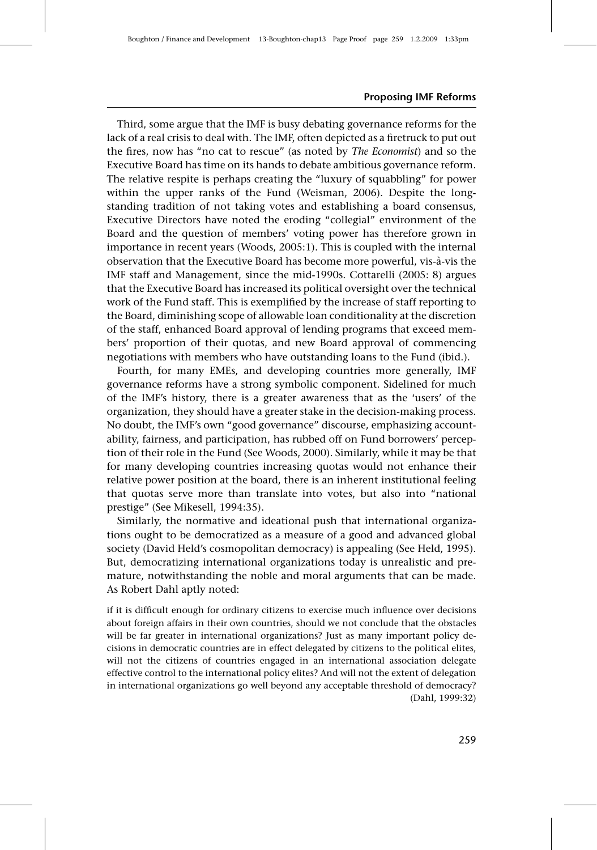Third, some argue that the IMF is busy debating governance reforms for the lack of a real crisis to deal with. The IMF, often depicted as a firetruck to put out the fires, now has "no cat to rescue" (as noted by The Economist) and so the Executive Board has time on its hands to debate ambitious governance reform. The relative respite is perhaps creating the "luxury of squabbling" for power within the upper ranks of the Fund (Weisman, 2006). Despite the longstanding tradition of not taking votes and establishing a board consensus, Executive Directors have noted the eroding "collegial" environment of the Board and the question of members' voting power has therefore grown in importance in recent years (Woods, 2005:1). This is coupled with the internal observation that the Executive Board has become more powerful, vis-à-vis the IMF staff and Management, since the mid-1990s. Cottarelli (2005: 8) argues that the Executive Board has increased its political oversight over the technical work of the Fund staff. This is exemplified by the increase of staff reporting to the Board, diminishing scope of allowable loan conditionality at the discretion of the staff, enhanced Board approval of lending programs that exceed members' proportion of their quotas, and new Board approval of commencing negotiations with members who have outstanding loans to the Fund (ibid.).

Fourth, for many EMEs, and developing countries more generally, IMF governance reforms have a strong symbolic component. Sidelined for much of the IMF's history, there is a greater awareness that as the 'users' of the organization, they should have a greater stake in the decision-making process. No doubt, the IMF's own "good governance" discourse, emphasizing accountability, fairness, and participation, has rubbed off on Fund borrowers' perception of their role in the Fund (See Woods, 2000). Similarly, while it may be that for many developing countries increasing quotas would not enhance their relative power position at the board, there is an inherent institutional feeling that quotas serve more than translate into votes, but also into "national prestige" (See Mikesell, 1994:35).

Similarly, the normative and ideational push that international organizations ought to be democratized as a measure of a good and advanced global society (David Held's cosmopolitan democracy) is appealing (See Held, 1995). But, democratizing international organizations today is unrealistic and premature, notwithstanding the noble and moral arguments that can be made. As Robert Dahl aptly noted:

if it is difficult enough for ordinary citizens to exercise much influence over decisions about foreign affairs in their own countries, should we not conclude that the obstacles will be far greater in international organizations? Just as many important policy decisions in democratic countries are in effect delegated by citizens to the political elites, will not the citizens of countries engaged in an international association delegate effective control to the international policy elites? And will not the extent of delegation in international organizations go well beyond any acceptable threshold of democracy? (Dahl, 1999:32)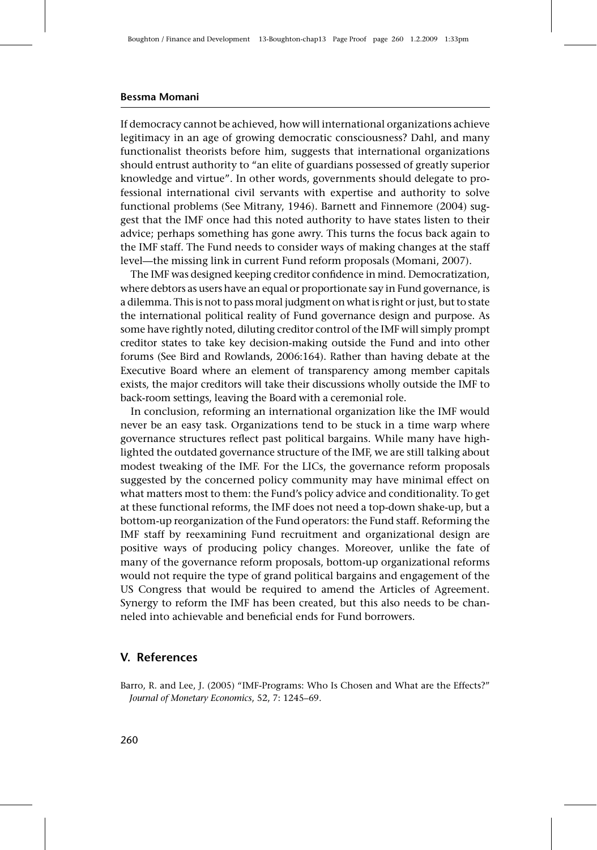If democracy cannot be achieved, how will international organizations achieve legitimacy in an age of growing democratic consciousness? Dahl, and many functionalist theorists before him, suggests that international organizations should entrust authority to "an elite of guardians possessed of greatly superior knowledge and virtue". In other words, governments should delegate to professional international civil servants with expertise and authority to solve functional problems (See Mitrany, 1946). Barnett and Finnemore (2004) suggest that the IMF once had this noted authority to have states listen to their advice; perhaps something has gone awry. This turns the focus back again to the IMF staff. The Fund needs to consider ways of making changes at the staff level—the missing link in current Fund reform proposals (Momani, 2007).

The IMF was designed keeping creditor confidence in mind. Democratization, where debtors as users have an equal or proportionate say in Fund governance, is a dilemma. This is not to passmoral judgment on what is right or just, but to state the international political reality of Fund governance design and purpose. As some have rightly noted, diluting creditor control of the IMF will simply prompt creditor states to take key decision-making outside the Fund and into other forums (See Bird and Rowlands, 2006:164). Rather than having debate at the Executive Board where an element of transparency among member capitals exists, the major creditors will take their discussions wholly outside the IMF to back-room settings, leaving the Board with a ceremonial role.

In conclusion, reforming an international organization like the IMF would never be an easy task. Organizations tend to be stuck in a time warp where governance structures reflect past political bargains. While many have highlighted the outdated governance structure of the IMF, we are still talking about modest tweaking of the IMF. For the LICs, the governance reform proposals suggested by the concerned policy community may have minimal effect on what matters most to them: the Fund's policy advice and conditionality. To get at these functional reforms, the IMF does not need a top-down shake-up, but a bottom-up reorganization of the Fund operators: the Fund staff. Reforming the IMF staff by reexamining Fund recruitment and organizational design are positive ways of producing policy changes. Moreover, unlike the fate of many of the governance reform proposals, bottom-up organizational reforms would not require the type of grand political bargains and engagement of the US Congress that would be required to amend the Articles of Agreement. Synergy to reform the IMF has been created, but this also needs to be channeled into achievable and beneficial ends for Fund borrowers.

## V. References

Barro, R. and Lee, J. (2005) "IMF-Programs: Who Is Chosen and What are the Effects?" Journal of Monetary Economics, 52, 7: 1245–69.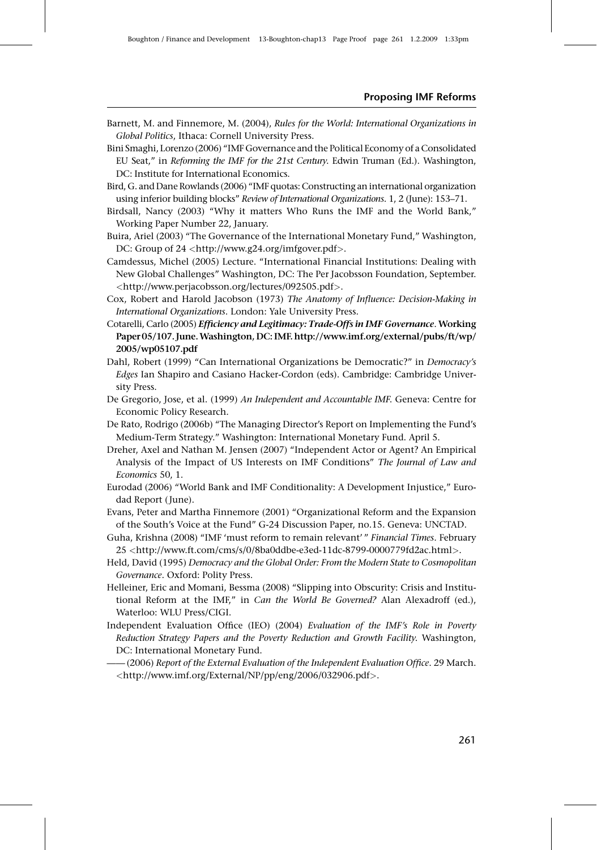- Barnett, M. and Finnemore, M. (2004), Rules for the World: International Organizations in Global Politics, Ithaca: Cornell University Press.
- Bini Smaghi, Lorenzo (2006) "IMF Governance and the Political Economy of a Consolidated EU Seat," in Reforming the IMF for the 21st Century. Edwin Truman (Ed.). Washington, DC: Institute for International Economics.
- Bird, G. and Dane Rowlands (2006) "IMF quotas: Constructing an international organization using inferior building blocks" Review of International Organizations. 1, 2 (June): 153–71.
- Birdsall, Nancy (2003) "Why it matters Who Runs the IMF and the World Bank," Working Paper Number 22, January.
- Buira, Ariel (2003) "The Governance of the International Monetary Fund," Washington, DC: Group of 24 <http://www.g24.org/imfgover.pdf>.
- Camdessus, Michel (2005) Lecture. "International Financial Institutions: Dealing with New Global Challenges" Washington, DC: The Per Jacobsson Foundation, September. <http://www.perjacobsson.org/lectures/092505.pdf>.
- Cox, Robert and Harold Jacobson (1973) The Anatomy of Influence: Decision-Making in International Organizations. London: Yale University Press.
- Cotarelli, Carlo (2005) Efficiency and Legitimacy: Trade-Offs in IMF Governance.Working Paper 05/107. June.Washington, DC: IMF. http://www.imf.org/external/pubs/ft/wp/ 2005/wp05107.pdf
- Dahl, Robert (1999) "Can International Organizations be Democratic?" in Democracy's Edges Ian Shapiro and Casiano Hacker-Cordon (eds). Cambridge: Cambridge University Press.
- De Gregorio, Jose, et al. (1999) An Independent and Accountable IMF. Geneva: Centre for Economic Policy Research.
- De Rato, Rodrigo (2006b) "The Managing Director's Report on Implementing the Fund's Medium-Term Strategy." Washington: International Monetary Fund. April 5.
- Dreher, Axel and Nathan M. Jensen (2007) "Independent Actor or Agent? An Empirical Analysis of the Impact of US Interests on IMF Conditions" The Journal of Law and Economics 50, 1.
- Eurodad (2006) "World Bank and IMF Conditionality: A Development Injustice," Eurodad Report (June).
- Evans, Peter and Martha Finnemore (2001) "Organizational Reform and the Expansion of the South's Voice at the Fund" G-24 Discussion Paper, no.15. Geneva: UNCTAD.
- Guha, Krishna (2008) "IMF 'must reform to remain relevant' " Financial Times. February 25 <http://www.ft.com/cms/s/0/8ba0ddbe-e3ed-11dc-8799-0000779fd2ac.html>.
- Held, David (1995) Democracy and the Global Order: From the Modern State to Cosmopolitan Governance. Oxford: Polity Press.
- Helleiner, Eric and Momani, Bessma (2008) "Slipping into Obscurity: Crisis and Institutional Reform at the IMF," in Can the World Be Governed? Alan Alexadroff (ed.), Waterloo: WLU Press/CIGI.
- Independent Evaluation Office (IEO) (2004) Evaluation of the IMF's Role in Poverty Reduction Strategy Papers and the Poverty Reduction and Growth Facility. Washington, DC: International Monetary Fund.
- —— (2006) Report of the External Evaluation of the Independent Evaluation Office. 29 March. <http://www.imf.org/External/NP/pp/eng/2006/032906.pdf>.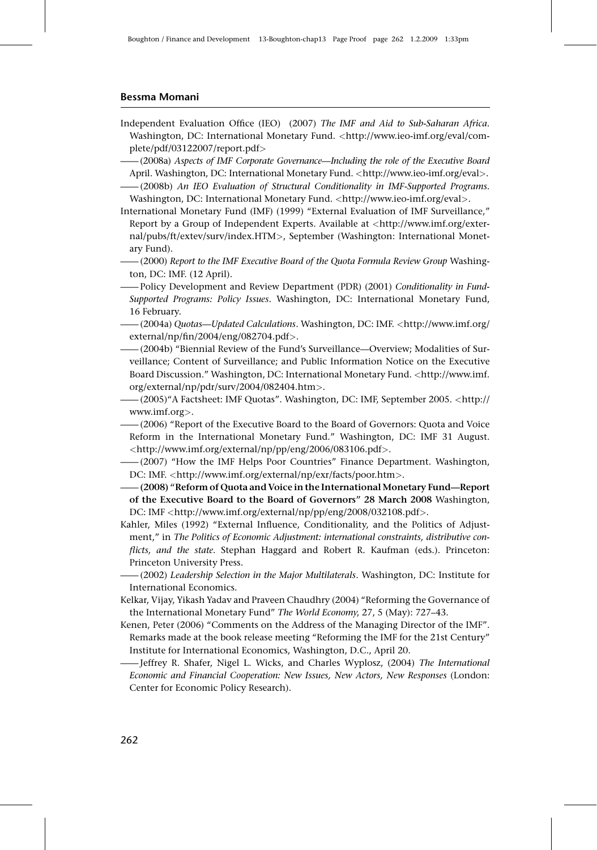- Independent Evaluation Office (IEO) (2007) The IMF and Aid to Sub-Saharan Africa. Washington, DC: International Monetary Fund. <http://www.ieo-imf.org/eval/complete/pdf/03122007/report.pdf>
- -(2008a) Aspects of IMF Corporate Governance—Including the role of the Executive Board April. Washington, DC: International Monetary Fund. <http://www.ieo-imf.org/eval>.
- —— (2008b) An IEO Evaluation of Structural Conditionality in IMF-Supported Programs. Washington, DC: International Monetary Fund. <http://www.ieo-imf.org/eval>.
- International Monetary Fund (IMF) (1999) "External Evaluation of IMF Surveillance," Report by a Group of Independent Experts. Available at <http://www.imf.org/external/pubs/ft/extev/surv/index.HTM>, September (Washington: International Monetary Fund).
- -(2000) Report to the IMF Executive Board of the Quota Formula Review Group Washington, DC: IMF. (12 April).
- -Policy Development and Review Department (PDR) (2001) Conditionality in Fund-Supported Programs: Policy Issues. Washington, DC: International Monetary Fund, 16 February.
- —— (2004a) Quotas—Updated Calculations. Washington, DC: IMF. <http://www.imf.org/ external/np/fin/2004/eng/082704.pdf>.
- —— (2004b) "Biennial Review of the Fund's Surveillance—Overview; Modalities of Surveillance; Content of Surveillance; and Public Information Notice on the Executive Board Discussion." Washington, DC: International Monetary Fund. <http://www.imf. org/external/np/pdr/surv/2004/082404.htm>.
- —— (2005)"A Factsheet: IMF Quotas". Washington, DC: IMF, September 2005. <http:// www.imf.org>.
- (2006) "Report of the Executive Board to the Board of Governors: Quota and Voice Reform in the International Monetary Fund." Washington, DC: IMF 31 August. <http://www.imf.org/external/np/pp/eng/2006/083106.pdf>.
- —— (2007) "How the IMF Helps Poor Countries" Finance Department. Washington, DC: IMF. <http://www.imf.org/external/np/exr/facts/poor.htm>.
- ——(2008) "Reform of Quota and Voice in the International Monetary Fund—Report of the Executive Board to the Board of Governors" 28 March 2008 Washington, DC: IMF <http://www.imf.org/external/np/pp/eng/2008/032108.pdf>.
- Kahler, Miles (1992) "External Influence, Conditionality, and the Politics of Adjustment," in The Politics of Economic Adjustment: international constraints, distributive conflicts, and the state. Stephan Haggard and Robert R. Kaufman (eds.). Princeton: Princeton University Press.
- -(2002) Leadership Selection in the Major Multilaterals. Washington, DC: Institute for International Economics.
- Kelkar, Vijay, Yikash Yadav and Praveen Chaudhry (2004) "Reforming the Governance of the International Monetary Fund" The World Economy, 27, 5 (May): 727–43.
- Kenen, Peter (2006) "Comments on the Address of the Managing Director of the IMF". Remarks made at the book release meeting "Reforming the IMF for the 21st Century" Institute for International Economics, Washington, D.C., April 20.
- —— Jeffrey R. Shafer, Nigel L. Wicks, and Charles Wyplosz, (2004) The International Economic and Financial Cooperation: New Issues, New Actors, New Responses (London: Center for Economic Policy Research).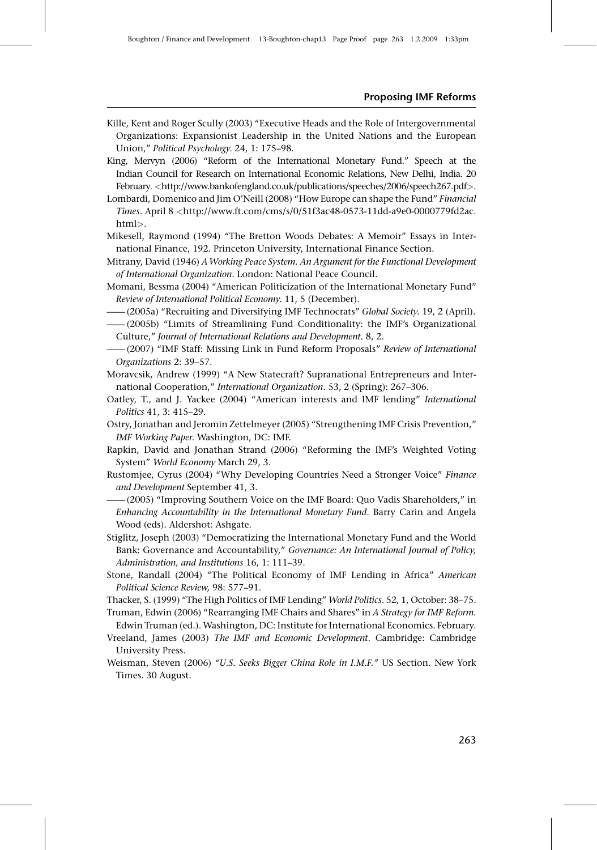- Kille, Kent and Roger Scully (2003) "Executive Heads and the Role of Intergovernmental Organizations: Expansionist Leadership in the United Nations and the European Union," Political Psychology. 24, 1: 175–98.
- King, Mervyn (2006) "Reform of the International Monetary Fund." Speech at the Indian Council for Research on International Economic Relations, New Delhi, India. 20 February. <http://www.bankofengland.co.uk/publications/speeches/2006/speech267.pdf>.
- Lombardi, Domenico and Jim O'Neill (2008) "How Europe can shape the Fund" Financial Times. April 8 <http://www.ft.com/cms/s/0/51f3ac48-0573-11dd-a9e0-0000779fd2ac. html>.
- Mikesell, Raymond (1994) "The Bretton Woods Debates: A Memoir" Essays in International Finance, 192. Princeton University, International Finance Section.
- Mitrany, David (1946) AWorking Peace System. An Argument for the Functional Development of International Organization. London: National Peace Council.
- Momani, Bessma (2004) "American Politicization of the International Monetary Fund" Review of International Political Economy. 11, 5 (December).
- -(2005a) "Recruiting and Diversifying IMF Technocrats" Global Society. 19, 2 (April).
- —— (2005b) "Limits of Streamlining Fund Conditionality: the IMF's Organizational Culture," Journal of International Relations and Development. 8, 2.
- -(2007) "IMF Staff: Missing Link in Fund Reform Proposals" Review of International Organizations 2: 39–57.
- Moravcsik, Andrew (1999) "A New Statecraft? Supranational Entrepreneurs and International Cooperation," International Organization. 53, 2 (Spring): 267–306.
- Oatley, T., and J. Yackee (2004) "American interests and IMF lending" International Politics 41, 3: 415–29.
- Ostry, Jonathan and Jeromin Zettelmeyer (2005) "Strengthening IMF Crisis Prevention," IMF Working Paper. Washington, DC: IMF.
- Rapkin, David and Jonathan Strand (2006) "Reforming the IMF's Weighted Voting System" World Economy March 29, 3.
- Rustomjee, Cyrus (2004) "Why Developing Countries Need a Stronger Voice" Finance and Development September 41, 3.

-(2005) "Improving Southern Voice on the IMF Board: Quo Vadis Shareholders," in Enhancing Accountability in the International Monetary Fund. Barry Carin and Angela Wood (eds). Aldershot: Ashgate.

- Stiglitz, Joseph (2003) "Democratizing the International Monetary Fund and the World Bank: Governance and Accountability," Governance: An International Journal of Policy, Administration, and Institutions 16, 1: 111–39.
- Stone, Randall (2004) "The Political Economy of IMF Lending in Africa" American Political Science Review, 98: 577–91.
- Thacker, S. (1999) "The High Politics of IMF Lending" World Politics. 52, 1, October: 38–75.
- Truman, Edwin (2006) "Rearranging IMF Chairs and Shares" in A Strategy for IMF Reform. Edwin Truman (ed.). Washington, DC: Institute for International Economics. February.
- Vreeland, James (2003) The IMF and Economic Development. Cambridge: Cambridge University Press.
- Weisman, Steven (2006) "U.S. Seeks Bigger China Role in I.M.F." US Section. New York Times. 30 August.